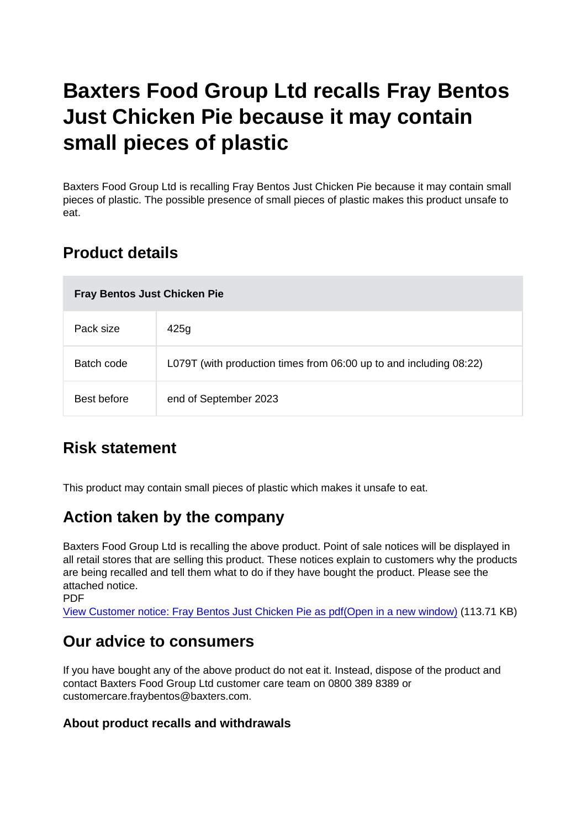# Baxters Food Group Ltd recalls Fray Bentos Just Chicken Pie because it may contain small pieces of plastic

Baxters Food Group Ltd is recalling Fray Bentos Just Chicken Pie because it may contain small pieces of plastic. The possible presence of small pieces of plastic makes this product unsafe to eat.

## Product details

| Fray Bentos Just Chicken Pie |                                                                    |
|------------------------------|--------------------------------------------------------------------|
| Pack size                    | 425g                                                               |
| Batch code                   | L079T (with production times from 06:00 up to and including 08:22) |
| Best before                  | end of September 2023                                              |

## Risk statement

This product may contain small pieces of plastic which makes it unsafe to eat.

## Action taken by the company

Baxters Food Group Ltd is recalling the above product. Point of sale notices will be displayed in all retail stores that are selling this product. These notices explain to customers why the products are being recalled and tell them what to do if they have bought the product. Please see the attached notice.

PDF

[View Customer notice: Fray Bentos Just Chicken Pie as pdf\(Open in a new window\)](https://s3-eu-west-1.amazonaws.com/fsa-alerts-files/production/FSA-PRIN-26-2022/FSA-PRIN-26-2022-FSA-PRIN-26-2022-Baxters-Food-Group-Ltd-recalls-Fray-Bentos-Just-Chicken-Pie-due-to-small-pieces-of-plastic.pdf) (113.71 KB)

#### Our advice to consumers

If you have bought any of the above product do not eat it. Instead, dispose of the product and contact Baxters Food Group Ltd customer care team on 0800 389 8389 or customercare.fraybentos@baxters.com.

About product recalls and withdrawals